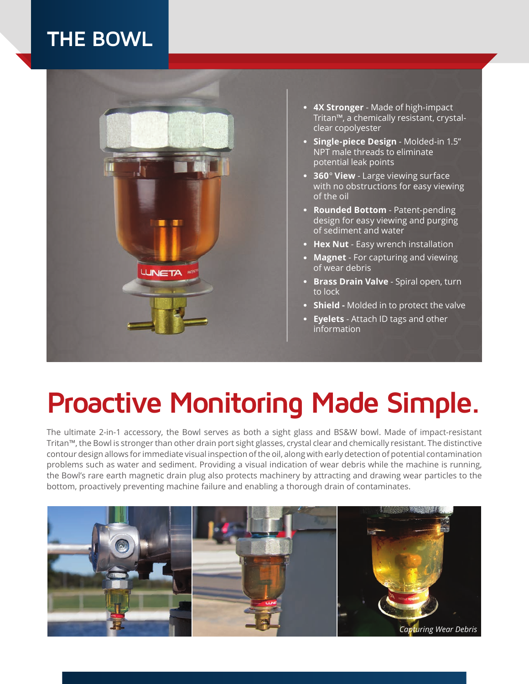## **THE BOWL**



- **. 4X Stronger** Made of high-impact Tritan™, a chemically resistant, crystalclear copolyester
- **. Single-piece Design** Molded-in 1.5" NPT male threads to eliminate potential leak points
- **. <sup>360</sup>***°* **View** Large viewing surface with no obstructions for easy viewing of the oil
- **. Rounded Bottom** Patent-pending design for easy viewing and purging of sediment and water
- **. Hex Nut** Easy wrench installation
- **. Magnet** For capturing and viewing of wear debris
- **. Brass Drain Valve** Spiral open, turn to lock
- **. Shield** Molded in to protect the valve
- **. Eyelets** Attach ID tags and other information

## **Proactive Monitoring Made Simple.**

The ultimate 2-in-1 accessory, the Bowl serves as both a sight glass and BS&W bowl. Made of impact-resistant Tritan™, the Bowl is stronger than other drain port sight glasses, crystal clear and chemically resistant. The distinctive contour design allows for immediate visual inspection of the oil, along with early detection of potential contamination problems such as water and sediment. Providing a visual indication of wear debris while the machine is running, the Bowl's rare earth magnetic drain plug also protects machinery by attracting and drawing wear particles to the bottom, proactively preventing machine failure and enabling a thorough drain of contaminates.